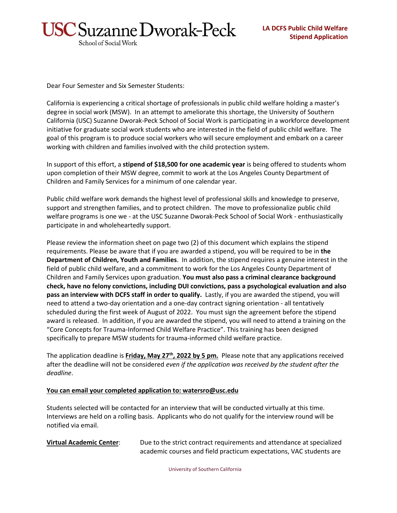

Dear Four Semester and Six Semester Students:

California is experiencing a critical shortage of professionals in public child welfare holding a master's degree in social work (MSW). In an attempt to ameliorate this shortage, the University of Southern California (USC) Suzanne Dworak-Peck School of Social Work is participating in a workforce development initiative for graduate social work students who are interested in the field of public child welfare. The goal of this program is to produce social workers who will secure employment and embark on a career working with children and families involved with the child protection system.

In support of this effort, a **stipend of \$18,500 for one academic year** is being offered to students whom upon completion of their MSW degree, commit to work at the Los Angeles County Department of Children and Family Services for a minimum of one calendar year.

Public child welfare work demands the highest level of professional skills and knowledge to preserve, support and strengthen families, and to protect children. The move to professionalize public child welfare programs is one we - at the USC Suzanne Dworak-Peck School of Social Work - enthusiastically participate in and wholeheartedly support.

Please review the information sheet on page two (2) of this document which explains the stipend requirements. Please be aware that if you are awarded a stipend, you will be required to be in **the Department of Children, Youth and Families**. In addition, the stipend requires a genuine interest in the field of public child welfare, and a commitment to work for the Los Angeles County Department of Children and Family Services upon graduation. **You must also pass a criminal clearance background check, have no felony convictions, including DUI convictions, pass a psychological evaluation and also pass an interview with DCFS staff in order to qualify.** Lastly, if you are awarded the stipend, you will need to attend a two-day orientation and a one-day contract signing orientation - all tentatively scheduled during the first week of August of 2022. You must sign the agreement before the stipend award is released. In addition, if you are awarded the stipend, you will need to attend a training on the "Core Concepts for Trauma-Informed Child Welfare Practice". This training has been designed specifically to prepare MSW students for trauma-informed child welfare practice.

The application deadline is **Friday, May 27th, 2022 by 5 pm.** Please note that any applications received after the deadline will not be considered *even if the application was received by the student after the deadline*.

## **You can email your completed application to: watersro@usc.edu**

Students selected will be contacted for an interview that will be conducted virtually at this time. Interviews are held on a rolling basis.Applicants who do not qualify for the interview round will be notified via email.

**Virtual Academic Center**: Due to the strict contract requirements and attendance at specialized academic courses and field practicum expectations, VAC students are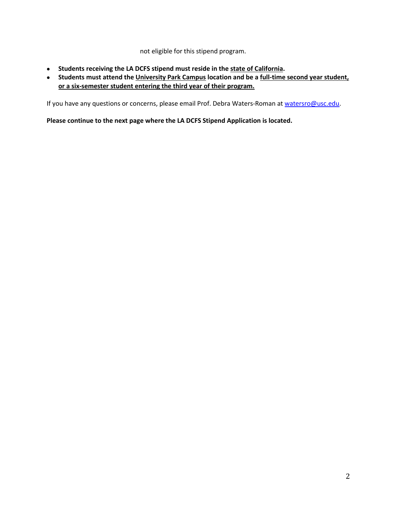not eligible for this stipend program.

- **Students receiving the LA DCFS stipend must reside in the state of California.**
- **Students must attend the University Park Campus location and be a full-time second year student, or a six-semester student entering the third year of their program.**

If you have any questions or concerns, please email Prof. Debra Waters-Roman at [watersro@usc.edu.](mailto:watersro@usc.edu)

**Please continue to the next page where the LA DCFS Stipend Application is located.**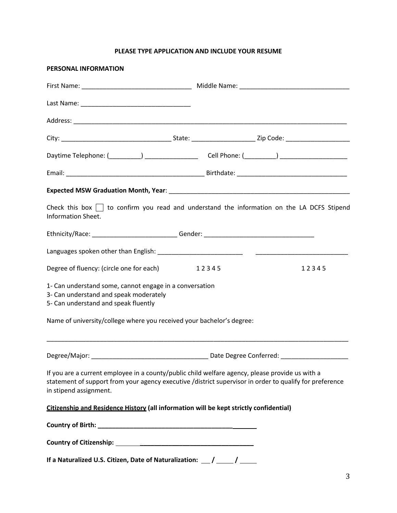## **PLEASE TYPE APPLICATION AND INCLUDE YOUR RESUME**

| PERSONAL INFORMATION                                                                                                                                                                                                                 |  |       |       |  |  |  |  |
|--------------------------------------------------------------------------------------------------------------------------------------------------------------------------------------------------------------------------------------|--|-------|-------|--|--|--|--|
|                                                                                                                                                                                                                                      |  |       |       |  |  |  |  |
|                                                                                                                                                                                                                                      |  |       |       |  |  |  |  |
|                                                                                                                                                                                                                                      |  |       |       |  |  |  |  |
|                                                                                                                                                                                                                                      |  |       |       |  |  |  |  |
|                                                                                                                                                                                                                                      |  |       |       |  |  |  |  |
|                                                                                                                                                                                                                                      |  |       |       |  |  |  |  |
|                                                                                                                                                                                                                                      |  |       |       |  |  |  |  |
| Check this box $\Box$ to confirm you read and understand the information on the LA DCFS Stipend<br>Information Sheet.                                                                                                                |  |       |       |  |  |  |  |
| Ethnicity/Race: ______________________________Gender: __________________________                                                                                                                                                     |  |       |       |  |  |  |  |
|                                                                                                                                                                                                                                      |  |       |       |  |  |  |  |
| Degree of fluency: (circle one for each)                                                                                                                                                                                             |  | 12345 | 12345 |  |  |  |  |
| 1- Can understand some, cannot engage in a conversation<br>3- Can understand and speak moderately<br>5- Can understand and speak fluently                                                                                            |  |       |       |  |  |  |  |
| Name of university/college where you received your bachelor's degree:                                                                                                                                                                |  |       |       |  |  |  |  |
|                                                                                                                                                                                                                                      |  |       |       |  |  |  |  |
|                                                                                                                                                                                                                                      |  |       |       |  |  |  |  |
| If you are a current employee in a county/public child welfare agency, please provide us with a<br>statement of support from your agency executive /district supervisor in order to qualify for preference<br>in stipend assignment. |  |       |       |  |  |  |  |
| Citizenship and Residence History (all information will be kept strictly confidential)                                                                                                                                               |  |       |       |  |  |  |  |
|                                                                                                                                                                                                                                      |  |       |       |  |  |  |  |
|                                                                                                                                                                                                                                      |  |       |       |  |  |  |  |
| If a Naturalized U.S. Citizen, Date of Naturalization: __ / ___ / ____                                                                                                                                                               |  |       |       |  |  |  |  |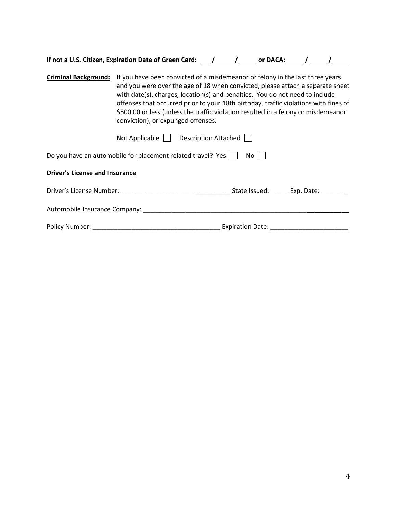|                                       | If not a U.S. Citizen, Expiration Date of Green Card: ___/ _____/ _____ or DACA: ____/ _____/                                                                                                                                                                                                                                                                                                                                                                                            |  |      |  |  |  |  |  |  |
|---------------------------------------|------------------------------------------------------------------------------------------------------------------------------------------------------------------------------------------------------------------------------------------------------------------------------------------------------------------------------------------------------------------------------------------------------------------------------------------------------------------------------------------|--|------|--|--|--|--|--|--|
|                                       | Criminal Background: If you have been convicted of a misdemeanor or felony in the last three years<br>and you were over the age of 18 when convicted, please attach a separate sheet<br>with date(s), charges, location(s) and penalties. You do not need to include<br>offenses that occurred prior to your 18th birthday, traffic violations with fines of<br>\$500.00 or less (unless the traffic violation resulted in a felony or misdemeanor<br>conviction), or expunged offenses. |  |      |  |  |  |  |  |  |
|                                       | Not Applicable     Description Attached                                                                                                                                                                                                                                                                                                                                                                                                                                                  |  |      |  |  |  |  |  |  |
|                                       | Do you have an automobile for placement related travel? Yes                                                                                                                                                                                                                                                                                                                                                                                                                              |  | No l |  |  |  |  |  |  |
| <b>Driver's License and Insurance</b> |                                                                                                                                                                                                                                                                                                                                                                                                                                                                                          |  |      |  |  |  |  |  |  |
|                                       |                                                                                                                                                                                                                                                                                                                                                                                                                                                                                          |  |      |  |  |  |  |  |  |
|                                       | Automobile Insurance Company: National Automobile Insurance Company:                                                                                                                                                                                                                                                                                                                                                                                                                     |  |      |  |  |  |  |  |  |
|                                       |                                                                                                                                                                                                                                                                                                                                                                                                                                                                                          |  |      |  |  |  |  |  |  |